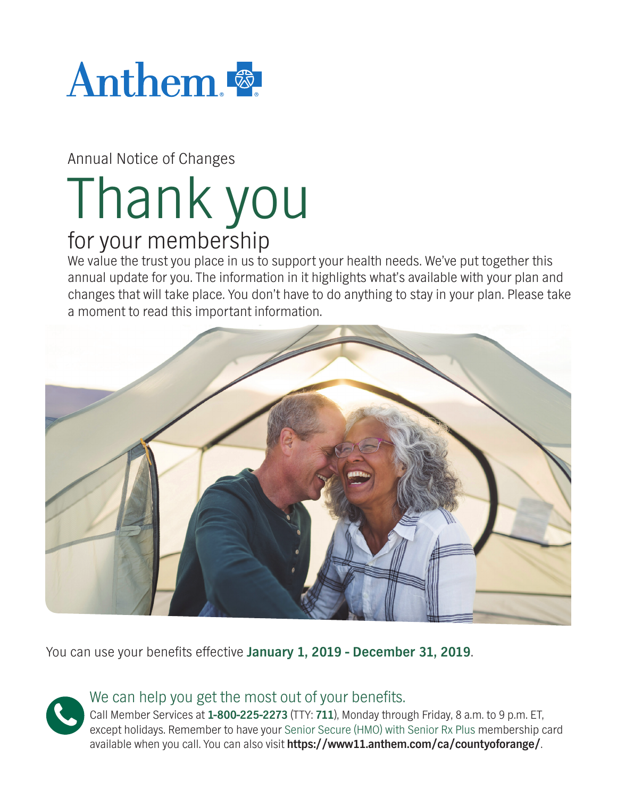

Annual Notice of Changes

# Thank you for your membership

We value the trust you place in us to support your health needs. We've put together this annual update for you. The information in it highlights what's available with your plan and changes that will take place. You don't have to do anything to stay in your plan. Please take a moment to read this important information.



You can use your benefits effective January 1, 2019 - December 31, 2019.

# We can help you get the most out of your benefits.

Call Member Services at **1-800-225-2273** (TTY: **711**), Monday through Friday, 8 a.m. to 9 p.m. ET, except holidays. Remember to have your Senior Secure (HMO) with Senior Rx Plus membership card available when you call. You can also visit **https://www11.anthem.com/ca/countyoforange/**.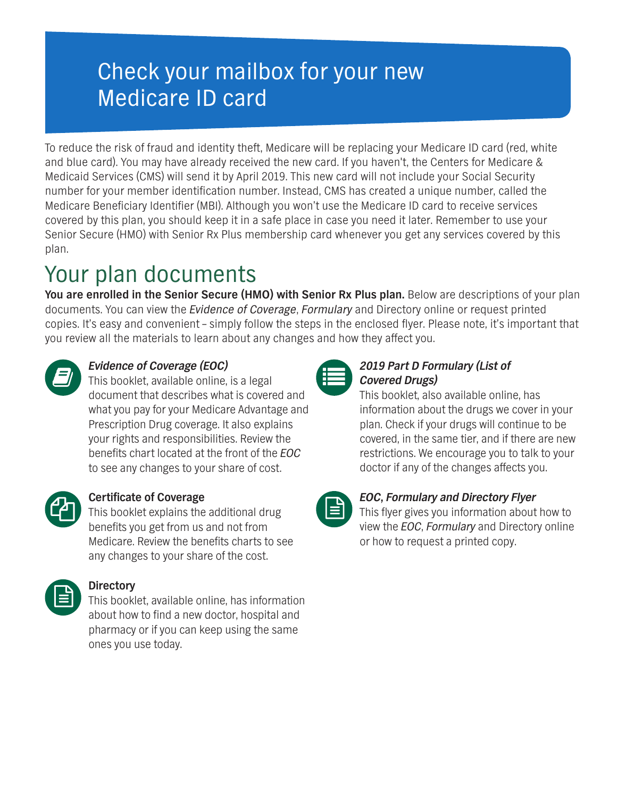# Check your mailbox for your new Medicare ID card

To reduce the risk of fraud and identity theft, Medicare will be replacing your Medicare ID card (red, white and blue card). You may have already received the new card. If you haven't, the Centers for Medicare & Medicaid Services (CMS) will send it by April 2019. This new card will not include your Social Security number for your member identification number. Instead, CMS has created a unique number, called the Medicare Beneficiary Identifier (MBI). Although you won't use the Medicare ID card to receive services covered by this plan, you should keep it in a safe place in case you need it later. Remember to use your Senior Secure (HMO) with Senior Rx Plus membership card whenever you get any services covered by this plan.

# Your plan documents

**You are enrolled in the Senior Secure (HMO) with Senior Rx Plus plan.** Below are descriptions of your plan documents. You can view the *Evidence of Coverage*, *Formulary* and Directory online or request printed copies. It's easy and convenient – simply follow the steps in the enclosed flyer. Please note, it's important that you review all the materials to learn about any changes and how they affect you.



## *Evidence of Coverage (EOC)*

This booklet, available online, is a legal document that describes what is covered and what you pay for your Medicare Advantage and Prescription Drug coverage. It also explains your rights and responsibilities. Review the benefits chart located at the front of the *EOC* to see any changes to your share of cost.



### **Certificate of Coverage**

This booklet explains the additional drug benefits you get from us and not from Medicare. Review the benefits charts to see any changes to your share of the cost.



### **Directory**

This booklet, available online, has information about how to find a new doctor, hospital and pharmacy or if you can keep using the same ones you use today.



### *2019 Part D Formulary (List of Covered Drugs)*

This booklet, also available online, has information about the drugs we cover in your plan. Check if your drugs will continue to be covered, in the same tier, and if there are new restrictions. We encourage you to talk to your doctor if any of the changes affects you.



### *EOC***,** *Formulary and Directory Flyer*

This flyer gives you information about how to view the *EOC*, *Formulary* and Directory online or how to request a printed copy.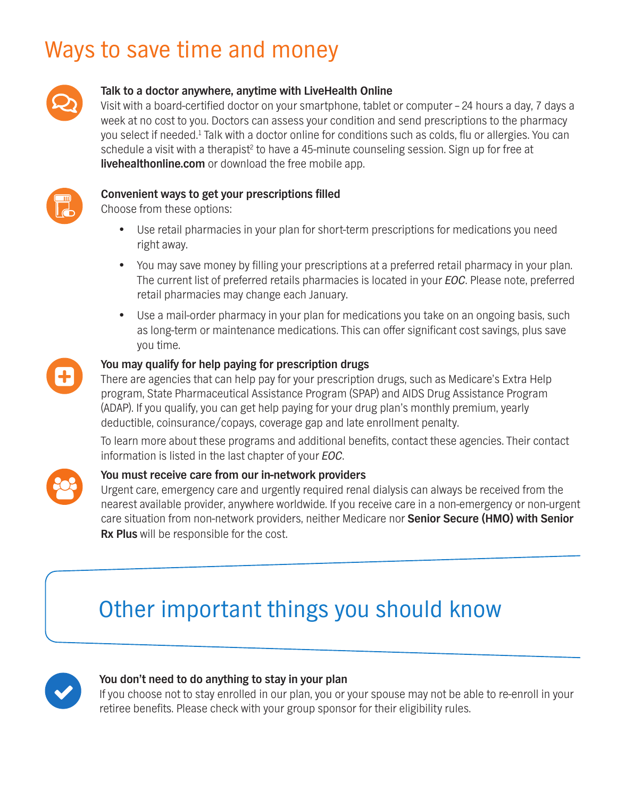# Ways to save time and money



#### **Talk to a doctor anywhere, anytime with LiveHealth Online**

Visit with a board-certified doctor on your smartphone, tablet or computer - 24 hours a day, 7 days a week at no cost to you. Doctors can assess your condition and send prescriptions to the pharmacy you select if needed.<sup>1</sup> Talk with a doctor online for conditions such as colds, flu or allergies. You can schedule a visit with a therapist<sup>2</sup> to have a 45-minute counseling session. Sign up for free at **[livehealthonline.com](http://livehealthonline.com)** or download the free mobile app.



#### **Convenient ways to get your prescriptions filled**

Choose from these options:

- Use retail pharmacies in your plan for short-term prescriptions for medications you need right away.
- You may save money by filling your prescriptions at a preferred retail pharmacy in your plan. The current list of preferred retails pharmacies is located in your *EOC*. Please note, preferred retail pharmacies may change each January.
- Use a mail-order pharmacy in your plan for medications you take on an ongoing basis, such as long-term or maintenance medications. This can offer significant cost savings, plus save you time.



#### **You may qualify for help paying for prescription drugs**

There are agencies that can help pay for your prescription drugs, such as Medicare's Extra Help program, State Pharmaceutical Assistance Program (SPAP) and AIDS Drug Assistance Program (ADAP). If you qualify, you can get help paying for your drug plan's monthly premium, yearly deductible, coinsurance/copays, coverage gap and late enrollment penalty.

To learn more about these programs and additional benefits, contact these agencies. Their contact information is listed in the last chapter of your *EOC*.



#### **You must receive care from our in-network providers**

Urgent care, emergency care and urgently required renal dialysis can always be received from the nearest available provider, anywhere worldwide. If you receive care in a non-emergency or non-urgent care situation from non-network providers, neither Medicare nor **Senior Secure (HMO) with Senior Rx Plus** will be responsible for the cost.

# Other important things you should know



#### **You don't need to do anything to stay in your plan**

If you choose not to stay enrolled in our plan, you or your spouse may not be able to re-enroll in your retiree benefits. Please check with your group sponsor for their eligibility rules.